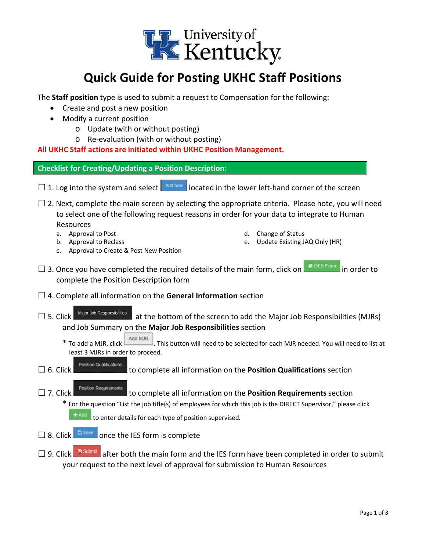

# **Quick Guide for Posting UKHC Staff Positions**

The **Staff position** type is used to submit a request to Compensation for the following:

- Create and post a new position
- Modify a current position
	- o Update (with or without posting)
	- o Re-evaluation (with or without posting)

**All UKHC Staff actions are initiated within UKHC Position Management.**

## **Checklist for Creating/Updating a Position Description:**

 $\Box$  1. Log into the system and select  $\Box$  Add New located in the lower left-hand corner of the screen

 $\square$  2. Next, complete the main screen by selecting the appropriate criteria. Please note, you will need to select one of the following request reasons in order for your data to integrate to Human Resources

- a. Approval to Post
- b. Approval to Reclass
- d. Change of Status
- e. Update Existing JAQ Only (HR)
- c. Approval to Create & Post New Position
- $\square$  3. Once you have completed the required details of the main form, click on  $\square$  does Form in order to complete the Position Description form
- ☐ 4. Complete all information on the **General Information** section
- $\Box$  5. Click  $\Box$  Major Job Responsibilities at the bottom of the screen to add the Major Job Responsibilities (MJRs) and Job Summary on the **Major Job Responsibilities** section
	- \* To add a MJR, click . This button will need to be selected for each MJR needed. You will need to list at least 3 MJRs in order to proceed.
- ☐ 6. Click to complete all information on the **Position Qualifications** section
- □ 7. Click **Position Requirements** to complete all information on the **Position Requirements** section
	- \* For the question "List the job title(s) of employees for which this job is the DIRECT Supervisor," please click

 $+$  Add to enter details for each type of position supervised.

- $\Box$  8. Click  $\Box$ <sup>save</sup> once the IES form is complete
- □ 9. Click **B** submit after both the main form and the IES form have been completed in order to submit your request to the next level of approval for submission to Human Resources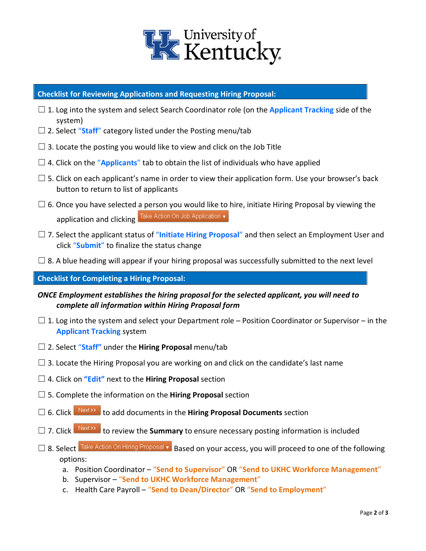

#### **Checklist for Reviewing Applications and Requesting Hiring Proposal:**

- ☐ 1. Log into the system and select Search Coordinator role (on the **Applicant Tracking** side of the system)
- $\Box$  2. Select "**Staff**" category listed under the Posting menu/tab
- $\square$  3. Locate the posting you would like to view and click on the Job Title
- $\Box$  4. Click on the "Applicants" tab to obtain the list of individuals who have applied
- $\square$  5. Click on each applicant's name in order to view their application form. Use your browser's back button to return to list of applicants
- $\Box$  6. Once you have selected a person you would like to hire, initiate Hiring Proposal by viewing the application and clicking Take Action On Job Application  $\overline{\mathbf{v}}$
- ☐ 7. Select the applicant status of "**Initiate Hiring Proposal**" and then select an Employment User and click "**Submit**" to finalize the status change
- $\square$  8. A blue heading will appear if your hiring proposal was successfully submitted to the next level

### **Checklist for Completing a Hiring Proposal:**

# *ONCE Employment establishes the hiring proposal for the selected applicant, you will need to complete all information within Hiring Proposal form*

- $\Box$  1. Log into the system and select your Department role Position Coordinator or Supervisor in the **Applicant Tracking** system
- ☐ 2. Select "**Staff"** under the **Hiring Proposal** menu/tab
- $\Box$  3. Locate the Hiring Proposal you are working on and click on the candidate's last name
- ☐ 4. Click on **"Edit"** next to the **Hiring Proposal** section
- ☐ 5. Complete the information on the **Hiring Proposal** section
- □ 6. Click Next<sup>33</sup> to add documents in the **Hiring Proposal Documents** section
- □ 7. Click Next>> to review the **Summary** to ensure necessary posting information is included
- □ 8. Select Take Action On Hiring Proposal v Based on your access, you will proceed to one of the following options:
	- a. Position Coordinator "**Send to Supervisor**" OR "**Send to UKHC Workforce Management**"
	- b. Supervisor "**Send to UKHC Workforce Management**"
	- c. Health Care Payroll "**Send to Dean/Director**" OR "**Send to Employment**"